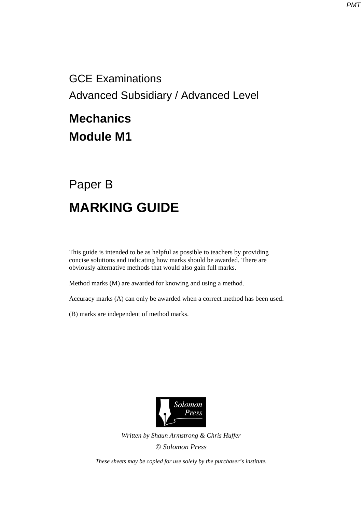GCE Examinations Advanced Subsidiary / Advanced Level

## **Mechanics Module M1**

## Paper B **MARKING GUIDE**

This guide is intended to be as helpful as possible to teachers by providing concise solutions and indicating how marks should be awarded. There are obviously alternative methods that would also gain full marks.

Method marks (M) are awarded for knowing and using a method.

Accuracy marks (A) can only be awarded when a correct method has been used.

(B) marks are independent of method marks.



*Written by Shaun Armstrong & Chris Huffer Solomon Press* 

*These sheets may be copied for use solely by the purchaser's institute.*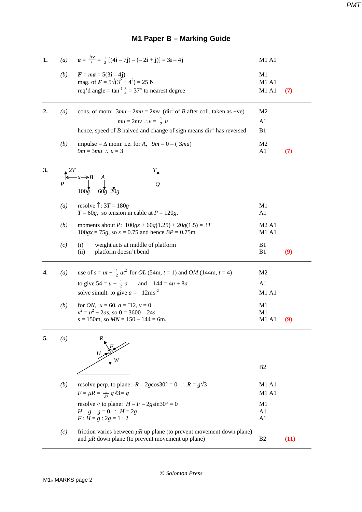## *PMT*

## **M1 Paper B – Marking Guide**

| 1. |                   | (a) $\mathbf{a} = \frac{\Delta \mathbf{v}}{t} = \frac{1}{2} [ (4\mathbf{i} - 7\mathbf{j}) - (-2\mathbf{i} + \mathbf{j}) ] = 3\mathbf{i} - 4\mathbf{j}$ | M1 A1                                  |      |
|----|-------------------|--------------------------------------------------------------------------------------------------------------------------------------------------------|----------------------------------------|------|
|    | (b)               | $F = ma = 5(3i - 4j)$<br>mag. of $\mathbf{F} = 5\sqrt{(3^2 + 4^2)} = 25$ N<br>req'd angle = $\tan^{-1} \frac{3}{4} = 37^{\circ}$ to nearest degree     | M1<br>M1 A1<br>M1 A1                   | (7)  |
|    |                   |                                                                                                                                                        |                                        |      |
| 2. | $\left(a\right)$  | cons. of mom: $3mu - 2mu = 2mv$ (dir <sup>n</sup> of <i>B</i> after coll. taken as +ve)                                                                | M <sub>2</sub>                         |      |
|    |                   | $mu = 2mv$ : $v = \frac{1}{2}u$                                                                                                                        | A1                                     |      |
|    |                   | hence, speed of $B$ halved and change of sign means dir <sup>n</sup> has reversed                                                                      | B <sub>1</sub>                         |      |
|    | (b)               | impulse = $\Delta$ mom: i.e. for A, $9m = 0 - (3mu)$<br>$9m = 3mu$ : $u = 3$                                                                           | M <sub>2</sub><br>A1                   | (7)  |
| 3. |                   | $100\bar{g}$<br>$60g\ 20g$                                                                                                                             |                                        |      |
|    | $\left( a\right)$ | resolve $\uparrow$ : 3T = 180g<br>$T = 60g$ , so tension in cable at $P = 120g$ .                                                                      | M1<br>A1                               |      |
|    | (b)               | moments about P: $100gx + 60g(1.25) + 20g(1.5) = 3T$<br>$100gx = 75g$ , so $x = 0.75$ and hence $BP = 0.75m$                                           | M <sub>2</sub> A <sub>1</sub><br>M1 A1 |      |
|    | (c)               | weight acts at middle of platform<br>(i)<br>platform doesn't bend<br>(ii)                                                                              | B <sub>1</sub><br>B1                   | (9)  |
| 4. | $\left(a\right)$  | use of $s = ut + \frac{1}{2}at^2$ for <i>OL</i> (54m, $t = 1$ ) and <i>OM</i> (144m, $t = 4$ )                                                         | M <sub>2</sub>                         |      |
|    |                   | to give $54 = u + \frac{1}{2} a$<br>and $144 = 4u + 8a$                                                                                                | A1                                     |      |
|    |                   | solve simult. to give $a = -12$ ms <sup>-2</sup>                                                                                                       | <b>M1 A1</b>                           |      |
|    | (b)               | for <i>ON</i> , $u = 60$ , $a = -12$ , $v = 0$<br>$v^2 = u^2 + 2as$ , so $0 = 3600 - 24s$<br>$s = 150$ m, so $MN = 150 - 144 = 6$ m.                   | M <sub>1</sub><br>M1<br>M1 A1          | (9)  |
| 5. | (a)               |                                                                                                                                                        |                                        |      |
|    |                   |                                                                                                                                                        | B <sub>2</sub>                         |      |
|    | (b)               | resolve perp. to plane: $R - 2g\cos 30^\circ = 0$ : $R = g\sqrt{3}$                                                                                    | M1 A1                                  |      |
|    |                   | $F = \mu R = \frac{1}{\sqrt{3}} g \sqrt{3} = g$                                                                                                        | <b>M1 A1</b>                           |      |
|    |                   | resolve // to plane: $H - F - 2gsin30^\circ = 0$                                                                                                       | M <sub>1</sub>                         |      |
|    |                   | $H - g - g = 0$ : $H = 2g$<br>$F: H = g: 2g = 1:2$                                                                                                     | A <sub>1</sub><br>A <sub>1</sub>       |      |
|    | (c)               | friction varies between $\mu$ R up plane (to prevent movement down plane)<br>and $\mu$ R down plane (to prevent movement up plane)                     | B <sub>2</sub>                         | (11) |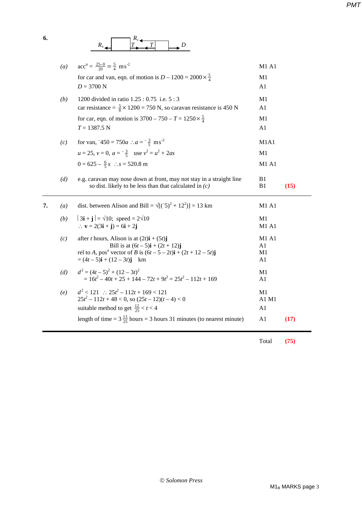*PMT*

|    | (a)              | $\mathrm{acc}^n = \frac{25-0}{20} = \frac{5}{4} \text{ ms}^{-2}$                                                                                                                                                                                            | M1 A1                   |      |
|----|------------------|-------------------------------------------------------------------------------------------------------------------------------------------------------------------------------------------------------------------------------------------------------------|-------------------------|------|
|    |                  | for car and van, eqn. of motion is $D - 1200 = 2000 \times \frac{5}{4}$                                                                                                                                                                                     | M1                      |      |
|    |                  | $D = 3700$ N                                                                                                                                                                                                                                                | A <sub>1</sub>          |      |
|    | (b)              | 1200 divided in ratio 1.25 : 0.75 i.e. 5 : 3                                                                                                                                                                                                                | M1                      |      |
|    |                  | car resistance = $\frac{5}{8}$ × 1200 = 750 N, so caravan resistance is 450 N                                                                                                                                                                               | A <sub>1</sub>          |      |
|    |                  | for car, eqn. of motion is $3700 - 750 - T = 1250 \times \frac{5}{4}$                                                                                                                                                                                       | M1                      |      |
|    |                  | $T = 1387.5$ N                                                                                                                                                                                                                                              | A1                      |      |
|    | (c)              | for van, $-450 = 750a$ : $a = -\frac{3}{5}$ ms <sup>-2</sup>                                                                                                                                                                                                | M1A1                    |      |
|    |                  | $u = 25$ , $v = 0$ , $a = -\frac{3}{5}$ use $v^2 = u^2 + 2as$                                                                                                                                                                                               | M1                      |      |
|    |                  | $0 = 625 - \frac{6}{5}s$ : $s = 520.8$ m                                                                                                                                                                                                                    | M1 A1                   |      |
|    | (d)              | e.g. caravan may nose down at front, may not stay in a straight line<br>so dist. likely to be less than that calculated in $(c)$                                                                                                                            | B1<br>B1                | (15) |
|    |                  |                                                                                                                                                                                                                                                             |                         |      |
| 7. | $\left(a\right)$ | dist. between Alison and Bill = $\sqrt{(5)^2 + 12^2}$ ] = 13 km                                                                                                                                                                                             | M1 A1                   |      |
|    | (b)              | $ 3\mathbf{i} + \mathbf{j}  = \sqrt{10}$ ; speed = $2\sqrt{10}$<br>$\therefore$ <b>v</b> = 2(3 <b>i</b> + <b>j</b> ) = 6 <b>i</b> + 2 <b>j</b>                                                                                                              | M1<br>M1 A1             |      |
|    | (c)              | after <i>t</i> hours, Alison is at $(2t)\mathbf{i} + (5t)\mathbf{j}$<br>Bill is at $(6t – 5)\mathbf{i} + (2t + 12)\mathbf{j}$<br>rel to A, pos <sup>n</sup> vector of B is $(6t – 5 – 2t)i + (2t + 12 – 5t)j$<br>$=(4t-5)\mathbf{i} + (12-3t)\mathbf{j}$ km | M1 A1<br>A1<br>M1<br>A1 |      |
|    | (d)              | $d^{2} = (4t - 5)^{2} + (12 - 3t)^{2}$<br>$= 16t^2 - 40t + 25 + 144 - 72t + 9t^2 = 25t^2 - 112t + 169$                                                                                                                                                      | M <sub>1</sub><br>A1    |      |
|    | (e)              | $d^2 < 121$ : $25t^2 - 112t + 169 < 121$<br>$25t^2 - 112t + 48 < 0$ , so $(25t - 12)(t - 4) < 0$<br>suitable method to get $\frac{12}{25} < t < 4$                                                                                                          | M1<br>A1 M1<br>A1       |      |
|    |                  | length of time = $3\frac{13}{25}$ hours = 3 hours 31 minutes (to nearest minute)                                                                                                                                                                            | A1                      | (17) |

Total **(75)**